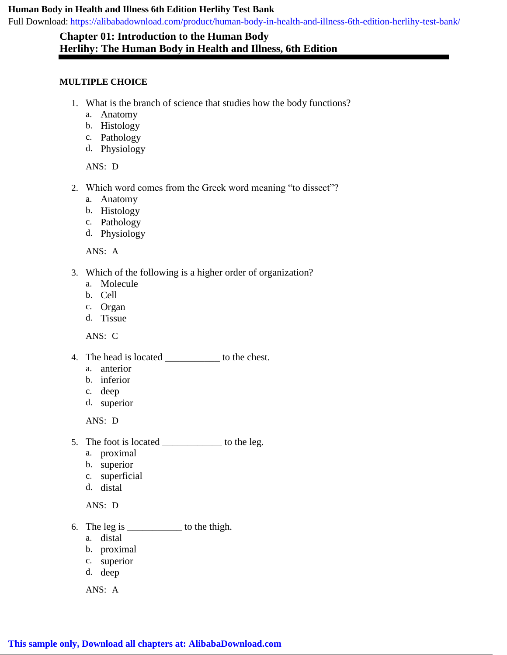## **Human Body in Health and Illness 6th Edition Herlihy Test Bank**

[Full Download: https://alibabadownload.com/product/human-body-in-health-and-illness-6th-edition-herlihy-test-bank/](https://alibabadownload.com/product/human-body-in-health-and-illness-6th-edition-herlihy-test-bank/)

## **Chapter 01: Introduction to the Human Body Herlihy: The Human Body in Health and Illness, 6th Edition**

## **MULTIPLE CHOICE**

- 1. What is the branch of science that studies how the body functions?
	- a. Anatomy
	- b. Histology
	- c. Pathology
	- d. Physiology

ANS: D

- 2. Which word comes from the Greek word meaning "to dissect"?
	- a. Anatomy
	- b. Histology
	- c. Pathology
	- d. Physiology

ANS: A

- 3. Which of the following is a higher order of organization?
	- a. Molecule
	- b. Cell
	- c. Organ
	- d. Tissue

ANS: C

- 4. The head is located \_\_\_\_\_\_\_\_\_\_\_ to the chest.
	- a. anterior
	- b. inferior
	- c. deep
	- d. superior

ANS: D

- 5. The foot is located \_\_\_\_\_\_\_\_\_\_\_\_ to the leg.
	- a. proximal
	- b. superior
	- c. superficial
	- d. distal

ANS: D

- 6. The leg is \_\_\_\_\_\_\_\_\_\_\_ to the thigh.
	- a. distal
	- b. proximal
	- c. superior
	- d. deep

ANS: A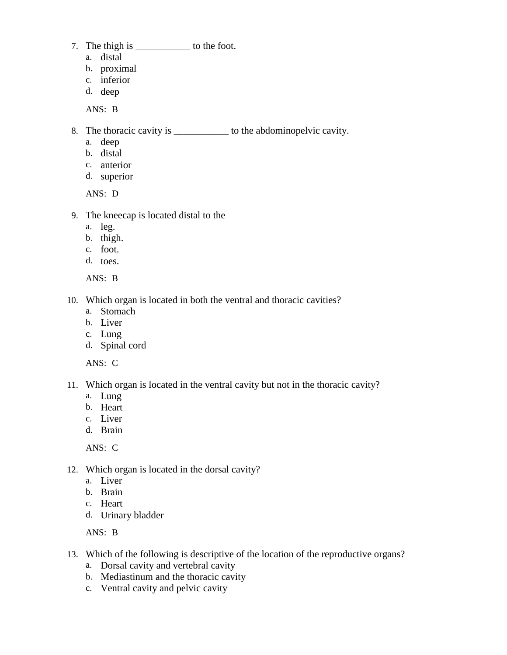- 7. The thigh is \_\_\_\_\_\_\_\_\_\_\_\_\_\_ to the foot.
	- a. distal
	- b. proximal
	- c. inferior
	- d. deep

ANS: B

- 8. The thoracic cavity is \_\_\_\_\_\_\_\_\_\_\_\_\_ to the abdominopelvic cavity.
	- a. deep
	- b. distal
	- c. anterior
	- d. superior

ANS: D

- 9. The kneecap is located distal to the
	- a. leg.
	- b. thigh.
	- c. foot.
	- d. toes.

ANS: B

- 10. Which organ is located in both the ventral and thoracic cavities?
	- a. Stomach
	- b. Liver
	- c. Lung
	- d. Spinal cord

ANS: C

- 11. Which organ is located in the ventral cavity but not in the thoracic cavity?
	- a. Lung
	- b. Heart
	- c. Liver
	- d. Brain

ANS: C

- 12. Which organ is located in the dorsal cavity?
	- a. Liver
	- b. Brain
	- c. Heart
	- d. Urinary bladder

ANS: B

- 13. Which of the following is descriptive of the location of the reproductive organs?
	- a. Dorsal cavity and vertebral cavity
	- b. Mediastinum and the thoracic cavity
	- c. Ventral cavity and pelvic cavity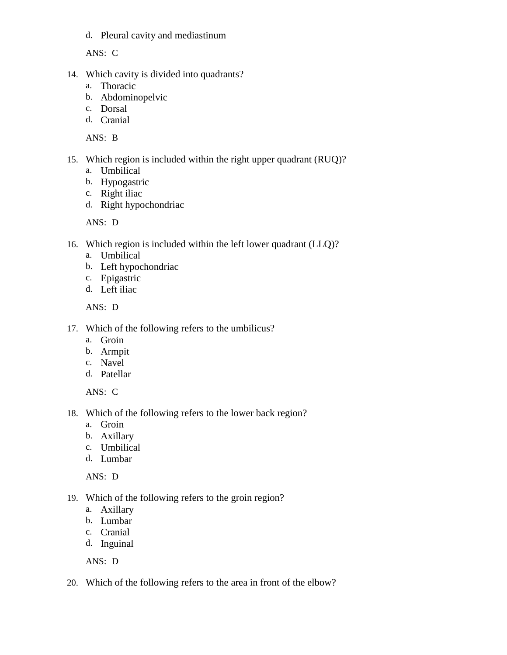d. Pleural cavity and mediastinum

ANS: C

- 14. Which cavity is divided into quadrants?
	- a. Thoracic
	- b. Abdominopelvic
	- c. Dorsal
	- d. Cranial

ANS: B

- 15. Which region is included within the right upper quadrant (RUQ)?
	- a. Umbilical
	- b. Hypogastric
	- c. Right iliac
	- d. Right hypochondriac

ANS: D

- 16. Which region is included within the left lower quadrant (LLQ)?
	- a. Umbilical
	- b. Left hypochondriac
	- c. Epigastric
	- d. Left iliac

ANS: D

- 17. Which of the following refers to the umbilicus?
	- a. Groin
	- b. Armpit
	- c. Navel
	- d. Patellar

ANS: C

- 18. Which of the following refers to the lower back region?
	- a. Groin
	- b. Axillary
	- c. Umbilical
	- d. Lumbar

ANS: D

- 19. Which of the following refers to the groin region?
	- a. Axillary
	- b. Lumbar
	- c. Cranial
	- d. Inguinal

ANS: D

20. Which of the following refers to the area in front of the elbow?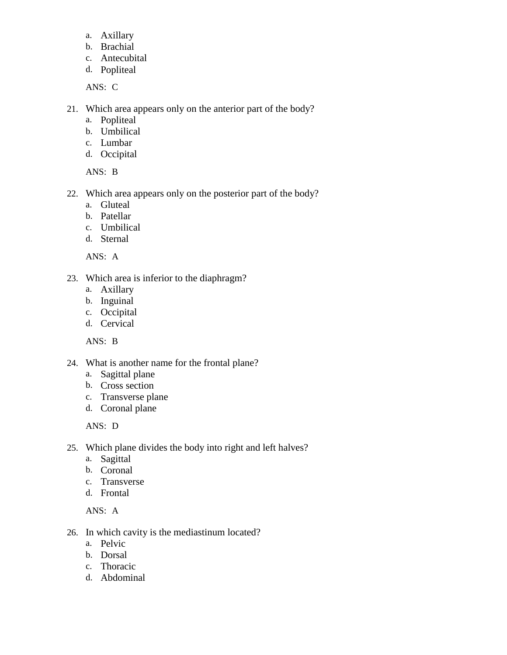- a. Axillary
- b. Brachial
- c. Antecubital
- d. Popliteal

ANS: C

- 21. Which area appears only on the anterior part of the body?
	- a. Popliteal
	- b. Umbilical
	- c. Lumbar
	- d. Occipital

ANS: B

- 22. Which area appears only on the posterior part of the body?
	- a. Gluteal
	- b. Patellar
	- c. Umbilical
	- d. Sternal

ANS: A

- 23. Which area is inferior to the diaphragm?
	- a. Axillary
	- b. Inguinal
	- c. Occipital
	- d. Cervical

ANS: B

- 24. What is another name for the frontal plane?
	- a. Sagittal plane
	- b. Cross section
	- c. Transverse plane
	- d. Coronal plane

ANS: D

- 25. Which plane divides the body into right and left halves?
	- a. Sagittal
	- b. Coronal
	- c. Transverse
	- d. Frontal

ANS: A

- 26. In which cavity is the mediastinum located?
	- a. Pelvic
	- b. Dorsal
	- c. Thoracic
	- d. Abdominal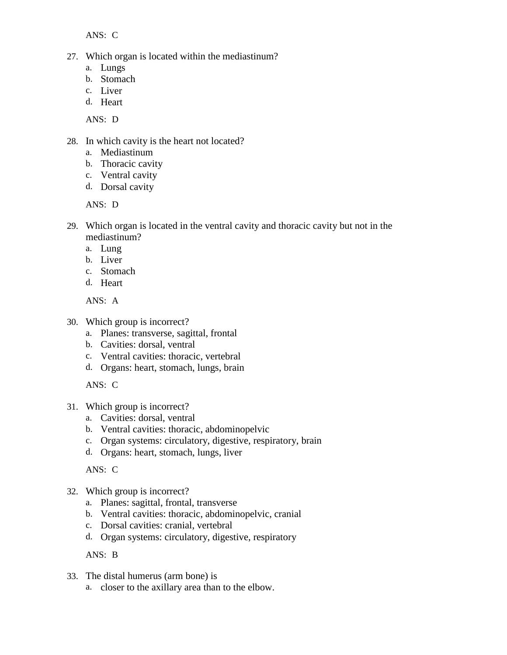ANS: C

- 27. Which organ is located within the mediastinum?
	- a. Lungs
	- b. Stomach
	- c. Liver
	- d. Heart

ANS: D

- 28. In which cavity is the heart not located?
	- a. Mediastinum
	- b. Thoracic cavity
	- c. Ventral cavity
	- d. Dorsal cavity

ANS: D

- 29. Which organ is located in the ventral cavity and thoracic cavity but not in the mediastinum?
	- a. Lung
	- b. Liver
	- c. Stomach
	- d. Heart

ANS: A

- 30. Which group is incorrect?
	- a. Planes: transverse, sagittal, frontal
	- b. Cavities: dorsal, ventral
	- c. Ventral cavities: thoracic, vertebral
	- d. Organs: heart, stomach, lungs, brain

ANS: C

- 31. Which group is incorrect?
	- a. Cavities: dorsal, ventral
	- b. Ventral cavities: thoracic, abdominopelvic
	- c. Organ systems: circulatory, digestive, respiratory, brain
	- d. Organs: heart, stomach, lungs, liver

ANS: C

- 32. Which group is incorrect?
	- a. Planes: sagittal, frontal, transverse
	- b. Ventral cavities: thoracic, abdominopelvic, cranial
	- c. Dorsal cavities: cranial, vertebral
	- d. Organ systems: circulatory, digestive, respiratory

ANS: B

- 33. The distal humerus (arm bone) is
	- a. closer to the axillary area than to the elbow.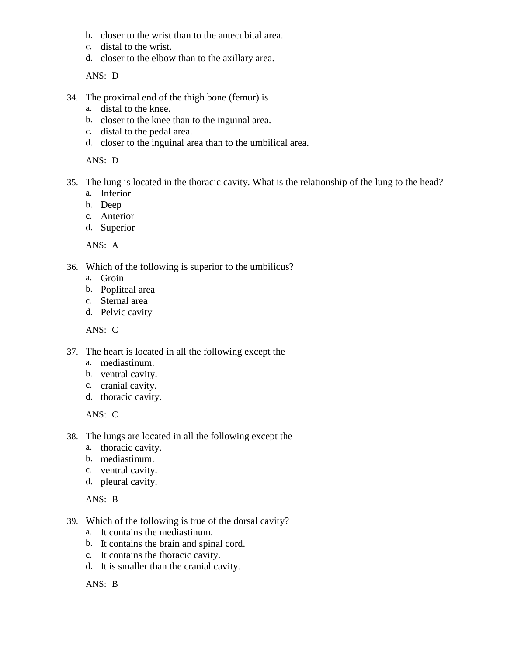- b. closer to the wrist than to the antecubital area.
- c. distal to the wrist.
- d. closer to the elbow than to the axillary area.

ANS: D

- 34. The proximal end of the thigh bone (femur) is
	- a. distal to the knee.
	- b. closer to the knee than to the inguinal area.
	- c. distal to the pedal area.
	- d. closer to the inguinal area than to the umbilical area.

ANS: D

- 35. The lung is located in the thoracic cavity. What is the relationship of the lung to the head?
	- a. Inferior
	- b. Deep
	- c. Anterior
	- d. Superior

ANS: A

- 36. Which of the following is superior to the umbilicus?
	- a. Groin
	- b. Popliteal area
	- c. Sternal area
	- d. Pelvic cavity

ANS: C

- 37. The heart is located in all the following except the
	- a. mediastinum.
	- b. ventral cavity.
	- c. cranial cavity.
	- d. thoracic cavity.

ANS: C

- 38. The lungs are located in all the following except the
	- a. thoracic cavity.
	- b. mediastinum.
	- c. ventral cavity.
	- d. pleural cavity.

ANS: B

- 39. Which of the following is true of the dorsal cavity?
	- a. It contains the mediastinum.
	- b. It contains the brain and spinal cord.
	- c. It contains the thoracic cavity.
	- d. It is smaller than the cranial cavity.

ANS: B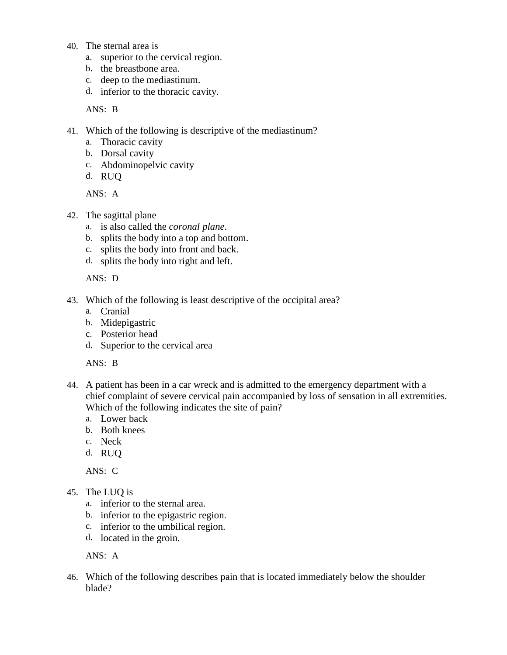- 40. The sternal area is
	- a. superior to the cervical region.
	- b. the breastbone area.
	- c. deep to the mediastinum.
	- d. inferior to the thoracic cavity.

ANS: B

- 41. Which of the following is descriptive of the mediastinum?
	- a. Thoracic cavity
	- b. Dorsal cavity
	- c. Abdominopelvic cavity
	- d. RUQ

ANS: A

- 42. The sagittal plane
	- a. is also called the *coronal plane*.
	- b. splits the body into a top and bottom.
	- c. splits the body into front and back.
	- d. splits the body into right and left.

ANS: D

- 43. Which of the following is least descriptive of the occipital area?
	- a. Cranial
	- b. Midepigastric
	- c. Posterior head
	- d. Superior to the cervical area

ANS: B

- 44. A patient has been in a car wreck and is admitted to the emergency department with a chief complaint of severe cervical pain accompanied by loss of sensation in all extremities. Which of the following indicates the site of pain?
	- a. Lower back
	- b. Both knees
	- c. Neck
	- d. RUQ

ANS: C

- 45. The LUQ is
	- a. inferior to the sternal area.
	- b. inferior to the epigastric region.
	- c. inferior to the umbilical region.
	- d. located in the groin.

ANS: A

46. Which of the following describes pain that is located immediately below the shoulder blade?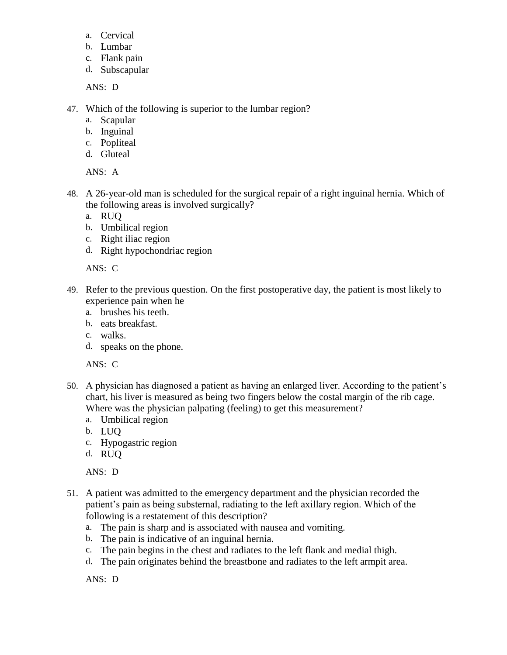- a. Cervical
- b. Lumbar
- c. Flank pain
- d. Subscapular

ANS: D

- 47. Which of the following is superior to the lumbar region?
	- a. Scapular
	- b. Inguinal
	- c. Popliteal
	- d. Gluteal

ANS: A

- 48. A 26-year-old man is scheduled for the surgical repair of a right inguinal hernia. Which of the following areas is involved surgically?
	- a. RUQ
	- b. Umbilical region
	- c. Right iliac region
	- d. Right hypochondriac region

ANS: C

- 49. Refer to the previous question. On the first postoperative day, the patient is most likely to experience pain when he
	- a. brushes his teeth.
	- b. eats breakfast.
	- c. walks.
	- d. speaks on the phone.

ANS: C

- 50. A physician has diagnosed a patient as having an enlarged liver. According to the patient's chart, his liver is measured as being two fingers below the costal margin of the rib cage. Where was the physician palpating (feeling) to get this measurement?
	- a. Umbilical region
	- b. LUQ
	- c. Hypogastric region
	- d. RUQ

ANS: D

- 51. A patient was admitted to the emergency department and the physician recorded the patient's pain as being substernal, radiating to the left axillary region. Which of the following is a restatement of this description?
	- a. The pain is sharp and is associated with nausea and vomiting.
	- b. The pain is indicative of an inguinal hernia.
	- c. The pain begins in the chest and radiates to the left flank and medial thigh.
	- d. The pain originates behind the breastbone and radiates to the left armpit area.

ANS: D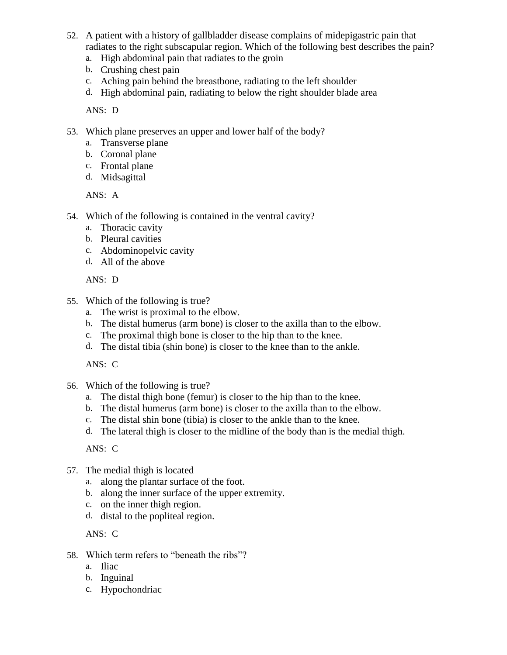- 52. A patient with a history of gallbladder disease complains of midepigastric pain that radiates to the right subscapular region. Which of the following best describes the pain?
	- a. High abdominal pain that radiates to the groin
	- b. Crushing chest pain
	- c. Aching pain behind the breastbone, radiating to the left shoulder
	- d. High abdominal pain, radiating to below the right shoulder blade area

ANS: D

- 53. Which plane preserves an upper and lower half of the body?
	- a. Transverse plane
	- b. Coronal plane
	- c. Frontal plane
	- d. Midsagittal

ANS: A

- 54. Which of the following is contained in the ventral cavity?
	- a. Thoracic cavity
	- b. Pleural cavities
	- c. Abdominopelvic cavity
	- d. All of the above

ANS: D

- 55. Which of the following is true?
	- a. The wrist is proximal to the elbow.
	- b. The distal humerus (arm bone) is closer to the axilla than to the elbow.
	- c. The proximal thigh bone is closer to the hip than to the knee.
	- d. The distal tibia (shin bone) is closer to the knee than to the ankle.

ANS: C

- 56. Which of the following is true?
	- a. The distal thigh bone (femur) is closer to the hip than to the knee.
	- b. The distal humerus (arm bone) is closer to the axilla than to the elbow.
	- c. The distal shin bone (tibia) is closer to the ankle than to the knee.
	- d. The lateral thigh is closer to the midline of the body than is the medial thigh.

ANS: C

- 57. The medial thigh is located
	- a. along the plantar surface of the foot.
	- b. along the inner surface of the upper extremity.
	- c. on the inner thigh region.
	- d. distal to the popliteal region.

ANS: C

- 58. Which term refers to "beneath the ribs"?
	- a. Iliac
	- b. Inguinal
	- c. Hypochondriac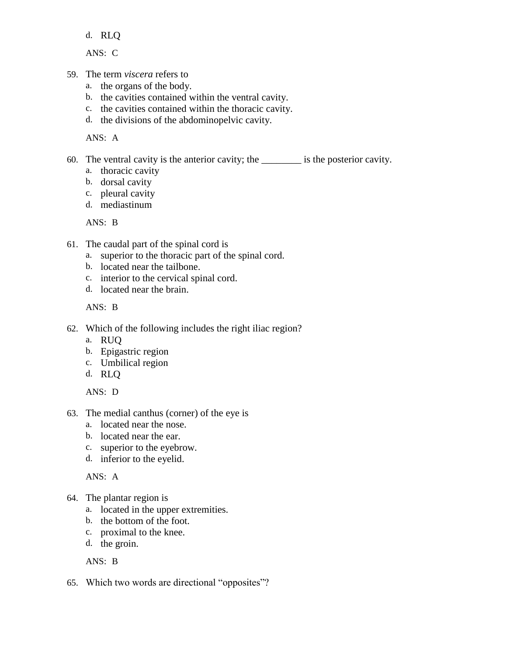d. RLQ

ANS: C

- 59. The term *viscera* refers to
	- a. the organs of the body.
	- b. the cavities contained within the ventral cavity.
	- c. the cavities contained within the thoracic cavity.
	- d. the divisions of the abdominopelvic cavity.

ANS: A

60. The ventral cavity is the anterior cavity; the \_\_\_\_\_\_\_\_ is the posterior cavity.

- a. thoracic cavity
- b. dorsal cavity
- c. pleural cavity
- d. mediastinum

ANS: B

- 61. The caudal part of the spinal cord is
	- a. superior to the thoracic part of the spinal cord.
	- b. located near the tailbone.
	- c. interior to the cervical spinal cord.
	- d. located near the brain.

ANS: B

- 62. Which of the following includes the right iliac region?
	- a. RUQ
	- b. Epigastric region
	- c. Umbilical region
	- d. RLQ

ANS: D

- 63. The medial canthus (corner) of the eye is
	- a. located near the nose.
	- b. located near the ear.
	- c. superior to the eyebrow.
	- d. inferior to the eyelid.

ANS: A

- 64. The plantar region is
	- a. located in the upper extremities.
	- b. the bottom of the foot.
	- c. proximal to the knee.
	- d. the groin.

ANS: B

65. Which two words are directional "opposites"?